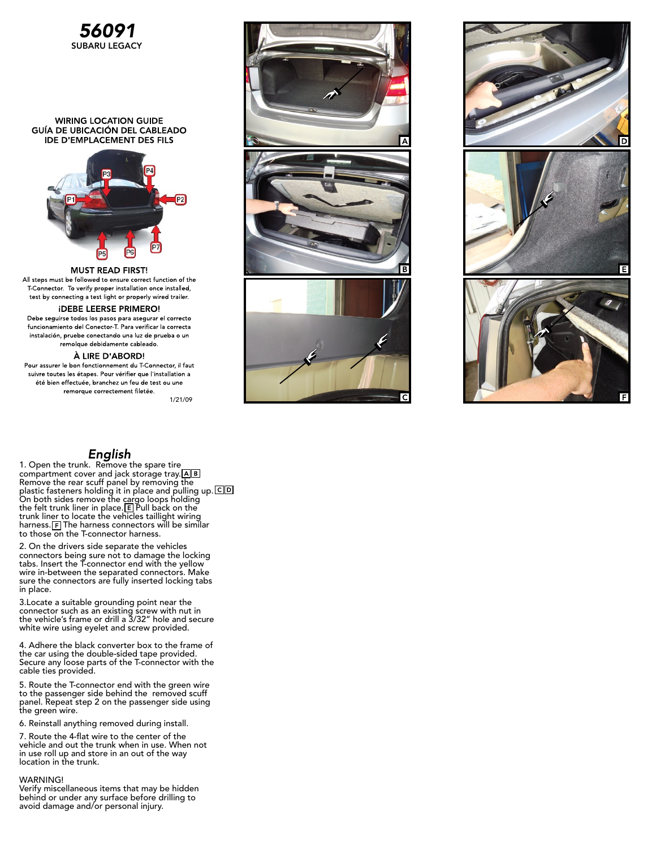

### **WIRING LOCATION GUIDE** GUÍA DE UBICACIÓN DEL CABLEADO **IDE D'EMPLACEMENT DES FILS**



**MUST READ FIRST!** All steps must be followed to ensure correct function of the T Connector. To verify proper installation once installed, test by connecting a test light or properly wired trailer.

## **IDEBE LEERSE PRIMERO!**

Debe seguirse todos los pasos para asegurar el correcto funcionamiento del Conector T. Para verificar la correcta instalación, pruebe conectando una luz de prueba o un remolque debidamente cableado.

#### À LIRE D'ABORD!

Pour assurer le bon fonctionnement du T-Connector, il faut suivre toutes les étapes. Pour vérifier que l'installation a été bien effectuée, branchez un feu de test ou une remorque correctement filetée.

1/21/09

# English

1. Open the trunk. Remove the spare tire compartment cover and jack storage tray. Remove the rear scuff panel by removing the plastic fasteners holding it in place and pulling up. On both sides remove the cargo loops holding the felt trunk liner in place. $\mathsf{E}\mathsf{I}$  Pull back on the trunk liner to locate the vehicles taillight wiring harness.  $F$  The harness connectors will be similar to those on the T-connector harness.

2. On the drivers side separate the vehicles connectors being sure not to damage the locking tabs. Insert the T-connector end with the yellow wire in-between the separated connectors. Make sure the connectors are fully inserted locking tabs in place.

3.Locate a suitable grounding point near the connector such as an existing screw with nut in the vehicle's frame or drill a 3/32" hole and secure white wire using eyelet and screw provided.

4. Adhere the black converter box to the frame of the car using the double-sided tape provided. Secure any loose parts of the T-connector with the cable ties provided.

5. Route the T-connector end with the green wire to the passenger side behind the removed scuff panel. Repeat step 2 on the passenger side using the green wire.

6. Reinstall anything removed during install.

7. Route the 4-flat wire to the center of the vehicle and out the trunk when in use. When not in use roll up and store in an out of the way location in the trunk.

#### WARNING!

Verify miscellaneous items that may be hidden behind or under any surface before drilling to avoid damage and/or personal injury.